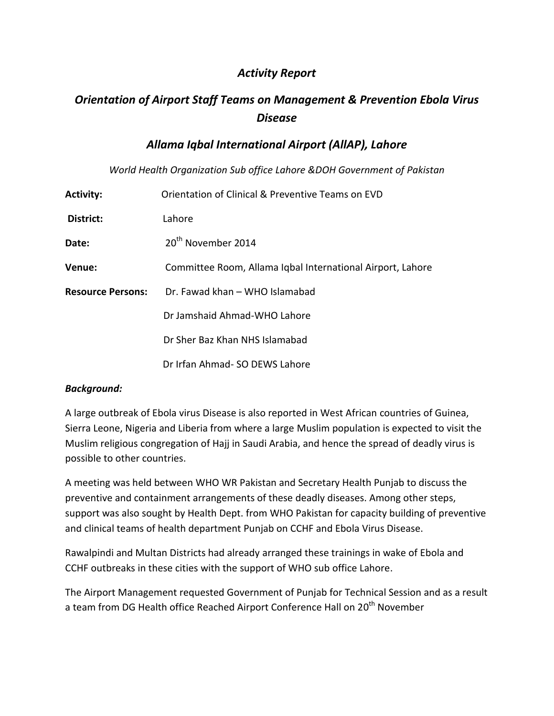# *Activity Report*

# *Orientation of Airport Staff Teams on Management & Prevention Ebola Virus Disease*

# *Allama Iqbal International Airport (AllAP), Lahore*

*World Health Organization Sub office Lahore &DOH Government of Pakistan*

| <b>Activity:</b>         | Orientation of Clinical & Preventive Teams on EVD          |
|--------------------------|------------------------------------------------------------|
| District:                | Lahore                                                     |
| Date:                    | 20 <sup>th</sup> November 2014                             |
| Venue:                   | Committee Room, Allama Iqbal International Airport, Lahore |
| <b>Resource Persons:</b> | Dr. Fawad khan - WHO Islamabad                             |
|                          | Dr Jamshaid Ahmad-WHO Lahore                               |
|                          | Dr Sher Baz Khan NHS Islamabad                             |
|                          | Dr Irfan Ahmad- SO DEWS Lahore                             |

#### *Background:*

A large outbreak of Ebola virus Disease is also reported in West African countries of Guinea, Sierra Leone, Nigeria and Liberia from where a large Muslim population is expected to visit the Muslim religious congregation of Hajj in Saudi Arabia, and hence the spread of deadly virus is possible to other countries.

A meeting was held between WHO WR Pakistan and Secretary Health Punjab to discuss the preventive and containment arrangements of these deadly diseases. Among other steps, support was also sought by Health Dept. from WHO Pakistan for capacity building of preventive and clinical teams of health department Punjab on CCHF and Ebola Virus Disease.

Rawalpindi and Multan Districts had already arranged these trainings in wake of Ebola and CCHF outbreaks in these cities with the support of WHO sub office Lahore.

The Airport Management requested Government of Punjab for Technical Session and as a result a team from DG Health office Reached Airport Conference Hall on 20<sup>th</sup> November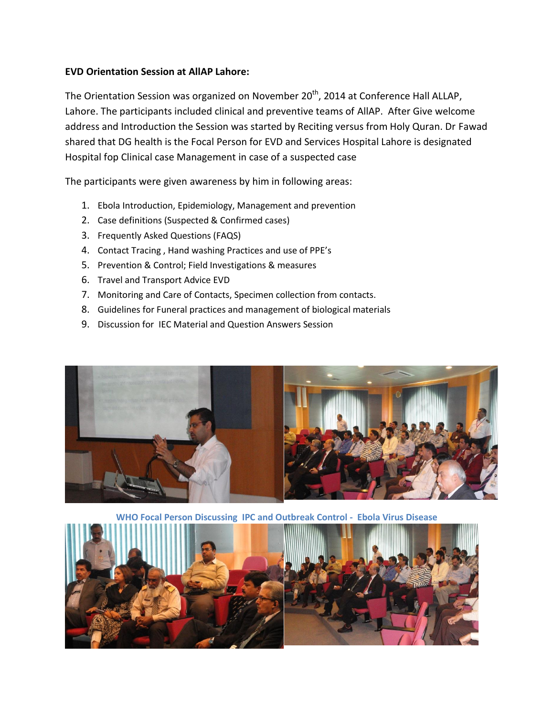### **EVD Orientation Session at AllAP Lahore:**

The Orientation Session was organized on November 20<sup>th</sup>, 2014 at Conference Hall ALLAP, Lahore. The participants included clinical and preventive teams of AllAP. After Give welcome address and Introduction the Session was started by Reciting versus from Holy Quran. Dr Fawad shared that DG health is the Focal Person for EVD and Services Hospital Lahore is designated Hospital fop Clinical case Management in case of a suspected case

The participants were given awareness by him in following areas:

- 1. Ebola Introduction, Epidemiology, Management and prevention
- 2. Case definitions (Suspected & Confirmed cases)
- 3. Frequently Asked Questions (FAQS)
- 4. Contact Tracing , Hand washing Practices and use of PPE's
- 5. Prevention & Control; Field Investigations & measures
- 6. Travel and Transport Advice EVD
- 7. Monitoring and Care of Contacts, Specimen collection from contacts.
- 8. Guidelines for Funeral practices and management of biological materials
- 9. Discussion for IEC Material and Question Answers Session



**WHO Focal Person Discussing IPC and Outbreak Control - Ebola Virus Disease**

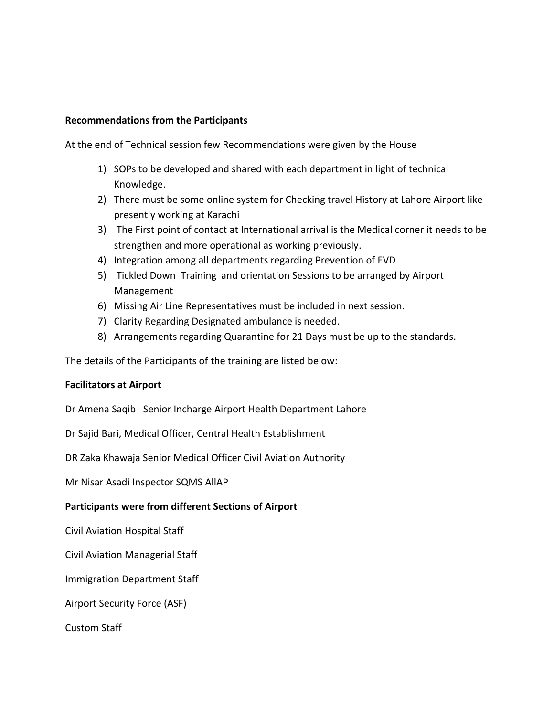#### **Recommendations from the Participants**

At the end of Technical session few Recommendations were given by the House

- 1) SOPs to be developed and shared with each department in light of technical Knowledge.
- 2) There must be some online system for Checking travel History at Lahore Airport like presently working at Karachi
- 3) The First point of contact at International arrival is the Medical corner it needs to be strengthen and more operational as working previously.
- 4) Integration among all departments regarding Prevention of EVD
- 5) Tickled Down Training and orientation Sessions to be arranged by Airport Management
- 6) Missing Air Line Representatives must be included in next session.
- 7) Clarity Regarding Designated ambulance is needed.
- 8) Arrangements regarding Quarantine for 21 Days must be up to the standards.

The details of the Participants of the training are listed below:

#### **Facilitators at Airport**

Dr Amena Saqib Senior Incharge Airport Health Department Lahore

Dr Sajid Bari, Medical Officer, Central Health Establishment

DR Zaka Khawaja Senior Medical Officer Civil Aviation Authority

Mr Nisar Asadi Inspector SQMS AllAP

#### **Participants were from different Sections of Airport**

Civil Aviation Hospital Staff

Civil Aviation Managerial Staff

Immigration Department Staff

Airport Security Force (ASF)

Custom Staff